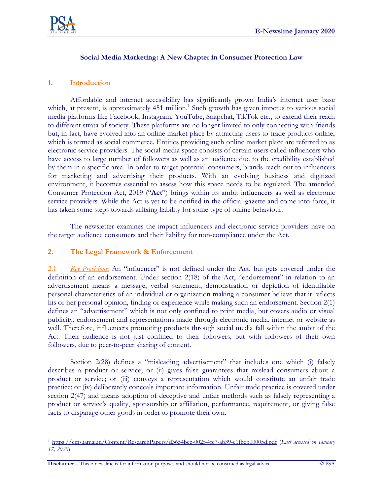

### **Social Media Marketing: A New Chapter in Consumer Protection Law**

### **1. Introduction**

Affordable and internet accessibility has significantly grown India's internet user base which, at present, is approximately 451 million.<sup>1</sup> Such growth has given impetus to various social media platforms like Facebook, Instagram, YouTube, Snapchat, TikTok etc., to extend their reach to different strata of society. These platforms are no longer limited to only connecting with friends but, in fact, have evolved into an online market place by attracting users to trade products online, which is termed as social commerce. Entities providing such online market place are referred to as electronic service providers. The social media space consists of certain users called influencers who have access to large number of followers as well as an audience due to the credibility established by them in a specific area. In order to target potential consumers, brands reach out to influencers for marketing and advertising their products. With an evolving business and digitized environment, it becomes essential to assess how this space needs to be regulated. The amended Consumer Protection Act, 2019 ("**Act**") brings within its ambit influencers as well as electronic service providers. While the Act is yet to be notified in the official gazette and come into force, it has taken some steps towards affixing liability for some type of online behaviour.

The newsletter examines the impact influencers and electronic service providers have on the target audience consumers and their liability for non-compliance under the Act.

## **2. The Legal Framework & Enforcement**

2.1 *Key Provisions:* An "influencer" is not defined under the Act, but gets covered under the definition of an endorsement. Under section 2(18) of the Act, "endorsement" in relation to an advertisement means a message, verbal statement, demonstration or depiction of identifiable personal characteristics of an individual or organization making a consumer believe that it reflects his or her personal opinion, finding or experience while making such an endorsement. Section 2(1) defines an "advertisement" which is not only confined to print media, but covers audio or visual publicity, endorsement and representations made through electronic media, internet or website as well. Therefore, influencers promoting products through social media fall within the ambit of the Act. Their audience is not just confined to their followers, but with followers of their own followers, due to peer-to-peer sharing of content.

Section 2(28) defines a "misleading advertisement" that includes one which (i) falsely describes a product or service; or (ii) gives false guarantees that mislead consumers about a product or service; or (iii) conveys a representation which would constitute an unfair trade practice; or (iv) deliberately conceals important information. Unfair trade practice is covered under section 2(47) and means adoption of deceptive and unfair methods such as falsely representing a product or service's quality, sponsorship or affiliation, performance, requirement, or giving false facts to disparage other goods in order to promote their own.

**Disclaimer** – This e-newsline is for information purposes and should not be construed as legal advice. © PSA

 $\overline{a}$ <sup>1</sup> <https://cms.iamai.in/Content/ResearchPapers/d3654bcc-002f-4fc7-ab39-e1fbeb00005d.pdf> (*Last accessed on January 17, 2020*)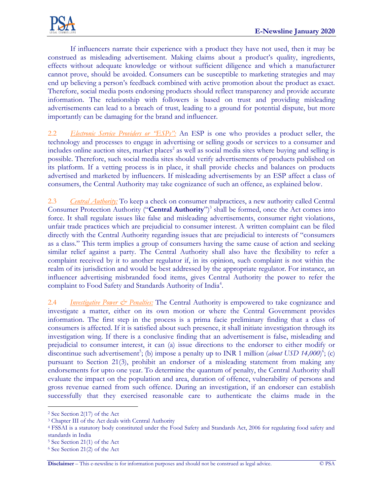If influencers narrate their experience with a product they have not used, then it may be construed as misleading advertisement. Making claims about a product's quality, ingredients, effects without adequate knowledge or without sufficient diligence and which a manufacturer cannot prove, should be avoided. Consumers can be susceptible to marketing strategies and may end up believing a person's feedback combined with active promotion about the product as exact. Therefore, social media posts endorsing products should reflect transparency and provide accurate information. The relationship with followers is based on trust and providing misleading advertisements can lead to a breach of trust, leading to a ground for potential dispute, but more importantly can be damaging for the brand and influencer.

2.2 *Electronic Service Providers or "ESPs":* An ESP is one who provides a product seller, the technology and processes to engage in advertising or selling goods or services to a consumer and includes online auction sites, market places<sup>2</sup> as well as social media sites where buying and selling is possible. Therefore, such social media sites should verify advertisements of products published on its platform. If a vetting process is in place, it shall provide checks and balances on products advertised and marketed by influencers. If misleading advertisements by an ESP affect a class of consumers, the Central Authority may take cognizance of such an offence, as explained below.

2.3 *Central Authority:* To keep a check on consumer malpractices, a new authority called Central Consumer Protection Authority ("**Central Authority**")<sup>3</sup> shall be formed, once the Act comes into force. It shall regulate issues like false and misleading advertisements, consumer right violations, unfair trade practices which are prejudicial to consumer interest. A written complaint can be filed directly with the Central Authority regarding issues that are prejudicial to interests of "consumers as a class." This term implies a group of consumers having the same cause of action and seeking similar relief against a party. The Central Authority shall also have the flexibility to refer a complaint received by it to another regulator if, in its opinion, such complaint is not within the realm of its jurisdiction and would be best addressed by the appropriate regulator. For instance, an influencer advertising misbranded food items, gives Central Authority the power to refer the complaint to Food Safety and Standards Authority of India<sup>4</sup>.

2.4 *Investigative Power & Penalties:* The Central Authority is empowered to take cognizance and investigate a matter, either on its own motion or where the Central Government provides information. The first step in the process is a prima facie preliminary finding that a class of consumers is affected. If it is satisfied about such presence, it shall initiate investigation through its investigation wing. If there is a conclusive finding that an advertisement is false, misleading and prejudicial to consumer interest, it can (a) issue directions to the endorser to either modify or discontinue such advertisement<sup>5</sup>; (b) impose a penalty up to INR 1 million (*about USD 14,000*)<sup>6</sup>; (c) pursuant to Section 21(3), prohibit an endorser of a misleading statement from making any endorsements for upto one year. To determine the quantum of penalty, the Central Authority shall evaluate the impact on the population and area, duration of offence, vulnerability of persons and gross revenue earned from such offence. During an investigation, if an endorser can establish successfully that they exercised reasonable care to authenticate the claims made in the

 $\overline{a}$ 

<sup>2</sup> See Section 2(17) of the Act

<sup>3</sup> Chapter III of the Act deals with Central Authority

<sup>4</sup> FSSAI is a statutory body constituted under the Food Safety and Standards Act, 2006 for regulating food safety and standards in India

<sup>5</sup> See Section 21(1) of the Act

<sup>6</sup> See Section 21(2) of the Act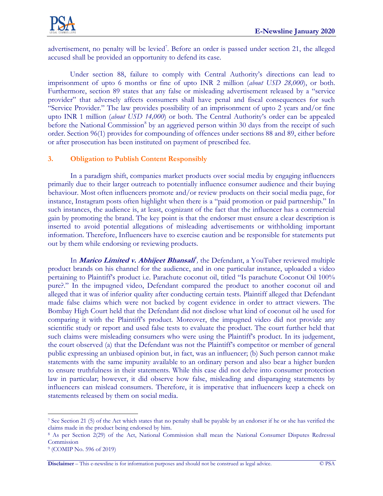

advertisement, no penalty will be levied<sup>7</sup>. Before an order is passed under section 21, the alleged accused shall be provided an opportunity to defend its case.

Under section 88, failure to comply with Central Authority's directions can lead to imprisonment of upto 6 months or fine of upto INR 2 million (*about USD 28,000*), or both. Furthermore, section 89 states that any false or misleading advertisement released by a "service provider" that adversely affects consumers shall have penal and fiscal consequences for such "Service Provider." The law provides possibility of an imprisonment of upto 2 years and/or fine upto INR 1 million (*about USD 14,000*) or both. The Central Authority's order can be appealed before the National Commission<sup>8</sup> by an aggrieved person within 30 days from the receipt of such order. Section 96(1) provides for compounding of offences under sections 88 and 89, either before or after prosecution has been instituted on payment of prescribed fee.

## **3. Obligation to Publish Content Responsibly**

In a paradigm shift, companies market products over social media by engaging influencers primarily due to their larger outreach to potentially influence consumer audience and their buying behaviour. Most often influencers promote and/or review products on their social media page, for instance, Instagram posts often highlight when there is a "paid promotion or paid partnership." In such instances, the audience is, at least, cognizant of the fact that the influencer has a commercial gain by promoting the brand. The key point is that the endorser must ensure a clear description is inserted to avoid potential allegations of misleading advertisements or withholding important information. Therefore, Influencers have to exercise caution and be responsible for statements put out by them while endorsing or reviewing products.

In *Marico Limited v. Abhijeet Bhansali*<sup>9</sup>, the Defendant, a YouTuber reviewed multiple product brands on his channel for the audience, and in one particular instance, uploaded a video pertaining to Plaintiff's product i.e. Parachute coconut oil, titled "Is parachute Coconut Oil 100% pure?." In the impugned video, Defendant compared the product to another coconut oil and alleged that it was of inferior quality after conducting certain tests. Plaintiff alleged that Defendant made false claims which were not backed by cogent evidence in order to attract viewers. The Bombay High Court held that the Defendant did not disclose what kind of coconut oil he used for comparing it with the Plaintiff's product. Moreover, the impugned video did not provide any scientific study or report and used false tests to evaluate the product. The court further held that such claims were misleading consumers who were using the Plaintiff's product. In its judgement, the court observed (a) that the Defendant was not the Plaintiff's competitor or member of general public expressing an unbiased opinion but, in fact, was an influencer; (b) Such person cannot make statements with the same impunity available to an ordinary person and also bear a higher burden to ensure truthfulness in their statements. While this case did not delve into consumer protection law in particular; however, it did observe how false, misleading and disparaging statements by influencers can mislead consumers. Therefore, it is imperative that influencers keep a check on statements released by them on social media.

 $\overline{a}$ 

<sup>7</sup> See Section 21 (5) of the Act which states that no penalty shall be payable by an endorser if he or she has verified the claims made in the product being endorsed by him.

<sup>8</sup> As per Section 2(29) of the Act, National Commission shall mean the National Consumer Disputes Redressal Commission

<sup>9</sup> (COMIP No. 596 of 2019)